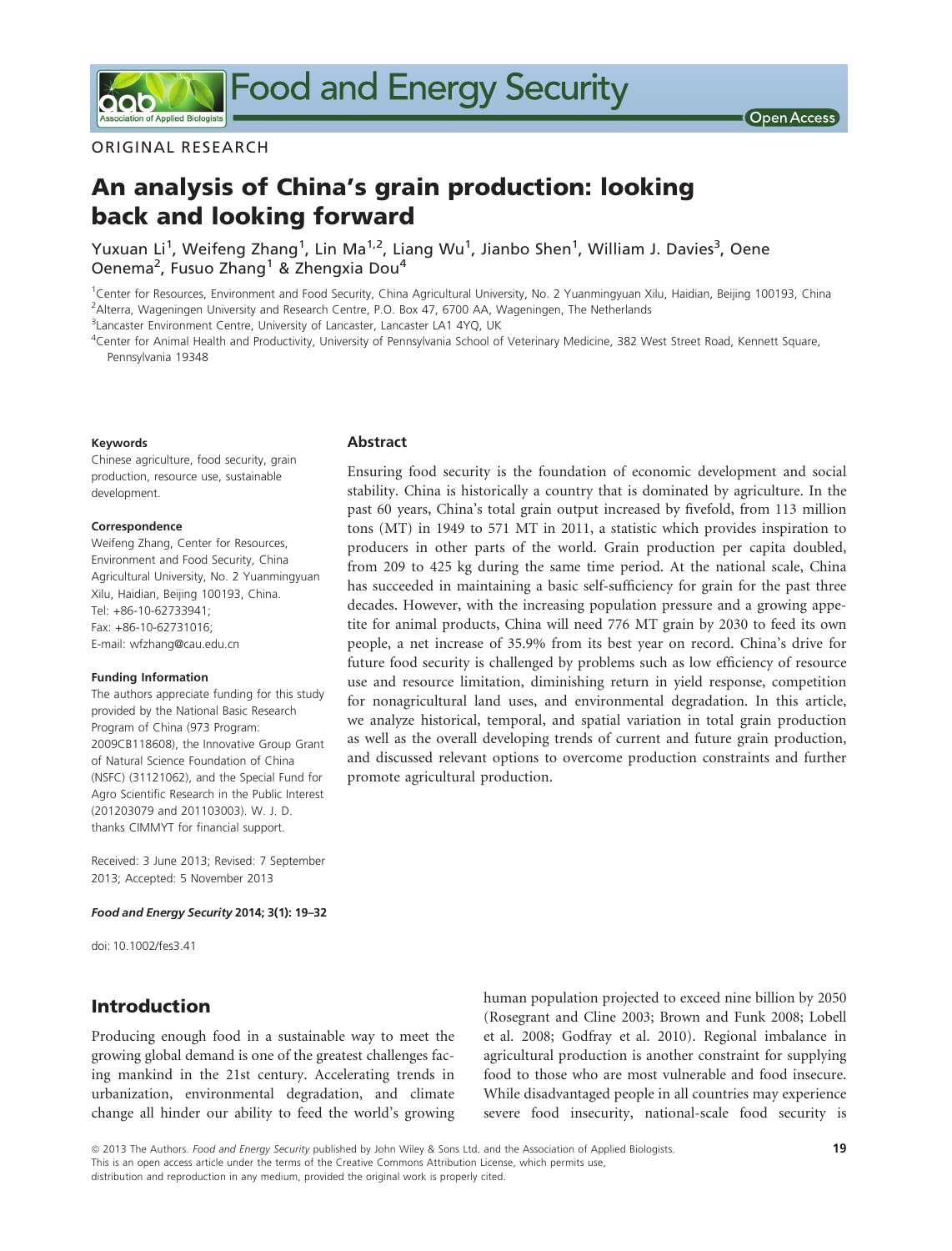ion of Applied Biologist

000

Yuxuan Li<sup>1</sup>, Weifeng Zhang<sup>1</sup>, Lin Ma<sup>1,2</sup>, Liang Wu<sup>1</sup>, Jianbo Shen<sup>1</sup>, William J. Davies<sup>3</sup>, Oene Oenema<sup>2</sup>, Fusuo Zhang<sup>1</sup> & Zhengxia Dou<sup>4</sup>

<sup>1</sup>Center for Resources, Environment and Food Security, China Agricultural University, No. 2 Yuanmingyuan Xilu, Haidian, Beijing 100193, China 2 Alterra, Wageningen University and Research Centre, P.O. Box 47, 6700 AA, Wageningen, The Netherlands

<sup>3</sup> Lancaster Environment Centre, University of Lancaster, Lancaster LA1 4YQ, UK

4 Center for Animal Health and Productivity, University of Pennsylvania School of Veterinary Medicine, 382 West Street Road, Kennett Square, Pennsylvania 19348

#### Keywords

Chinese agriculture, food security, grain production, resource use, sustainable development.

#### Correspondence

Weifeng Zhang, Center for Resources, Environment and Food Security, China Agricultural University, No. 2 Yuanmingyuan Xilu, Haidian, Beijing 100193, China. Tel: +86-10-62733941; Fax: +86-10-62731016; E-mail: wfzhang@cau.edu.cn

### Funding Information

The authors appreciate funding for this study provided by the National Basic Research Program of China (973 Program: 2009CB118608), the Innovative Group Grant of Natural Science Foundation of China (NSFC) (31121062), and the Special Fund for Agro Scientific Research in the Public Interest (201203079 and 201103003). W. J. D. thanks CIMMYT for financial support.

Received: 3 June 2013; Revised: 7 September 2013; Accepted: 5 November 2013

#### Food and Energy Security 2014; 3(1): 19–32

doi: 10.1002/fes3.41

## Introduction

Producing enough food in a sustainable way to meet the growing global demand is one of the greatest challenges facing mankind in the 21st century. Accelerating trends in urbanization, environmental degradation, and climate change all hinder our ability to feed the world's growing human population projected to exceed nine billion by 2050 (Rosegrant and Cline 2003; Brown and Funk 2008; Lobell et al. 2008; Godfray et al. 2010). Regional imbalance in agricultural production is another constraint for supplying food to those who are most vulnerable and food insecure. While disadvantaged people in all countries may experience severe food insecurity, national-scale food security is

ª 2013 The Authors. Food and Energy Security published by John Wiley & Sons Ltd. and the Association of Applied Biologists. This is an open access article under the terms of the Creative Commons Attribution License, which permits use, distribution and reproduction in any medium, provided the original work is properly cited.

### Abstract

Ensuring food security is the foundation of economic development and social stability. China is historically a country that is dominated by agriculture. In the past 60 years, China's total grain output increased by fivefold, from 113 million tons (MT) in 1949 to 571 MT in 2011, a statistic which provides inspiration to producers in other parts of the world. Grain production per capita doubled, from 209 to 425 kg during the same time period. At the national scale, China has succeeded in maintaining a basic self-sufficiency for grain for the past three decades. However, with the increasing population pressure and a growing appetite for animal products, China will need 776 MT grain by 2030 to feed its own people, a net increase of 35.9% from its best year on record. China's drive for future food security is challenged by problems such as low efficiency of resource use and resource limitation, diminishing return in yield response, competition for nonagricultural land uses, and environmental degradation. In this article, we analyze historical, temporal, and spatial variation in total grain production as well as the overall developing trends of current and future grain production, and discussed relevant options to overcome production constraints and further promote agricultural production.

**Open Access**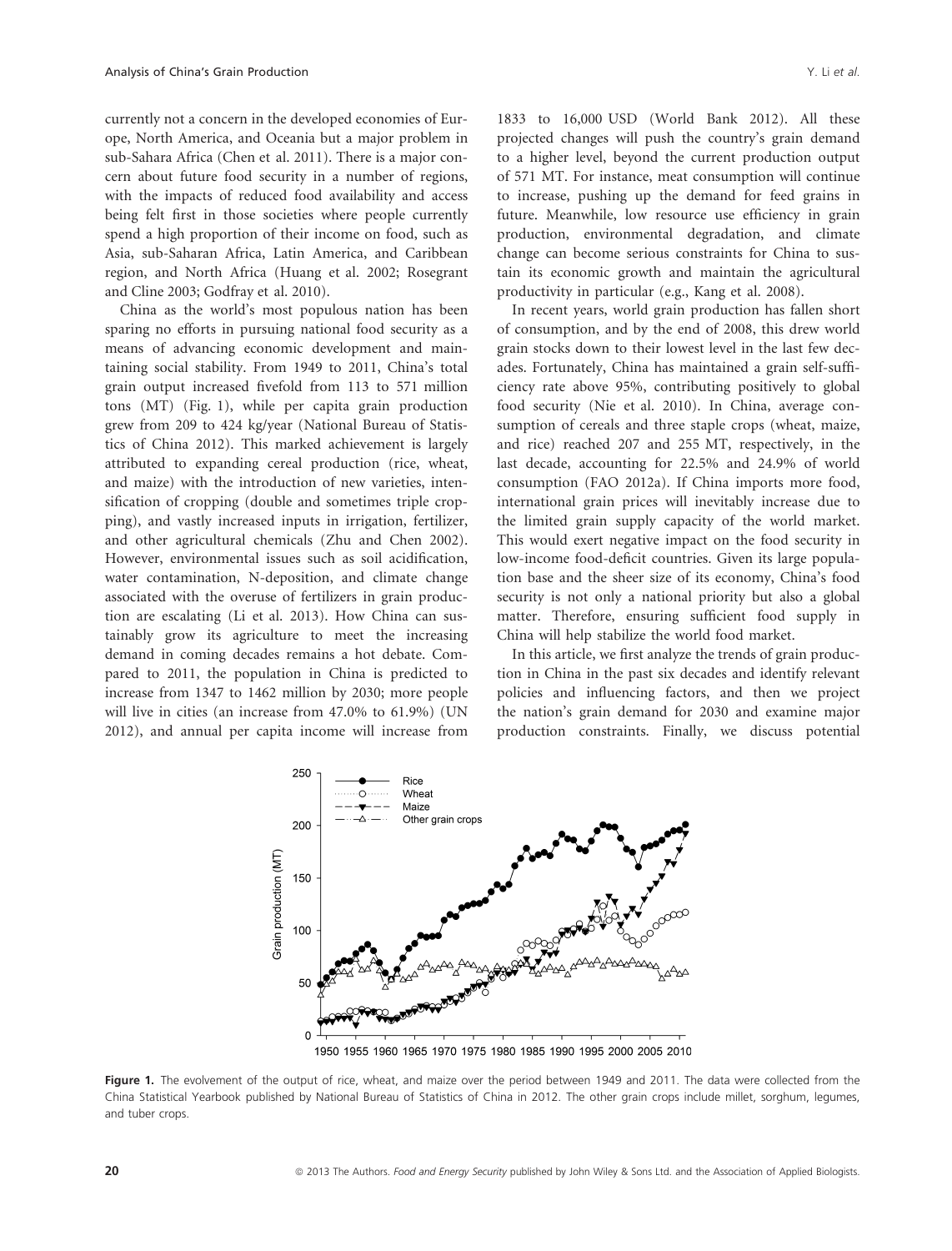currently not a concern in the developed economies of Europe, North America, and Oceania but a major problem in sub-Sahara Africa (Chen et al. 2011). There is a major concern about future food security in a number of regions, with the impacts of reduced food availability and access being felt first in those societies where people currently spend a high proportion of their income on food, such as Asia, sub-Saharan Africa, Latin America, and Caribbean region, and North Africa (Huang et al. 2002; Rosegrant and Cline 2003; Godfray et al. 2010).

China as the world's most populous nation has been sparing no efforts in pursuing national food security as a means of advancing economic development and maintaining social stability. From 1949 to 2011, China's total grain output increased fivefold from 113 to 571 million tons (MT) (Fig. 1), while per capita grain production grew from 209 to 424 kg/year (National Bureau of Statistics of China 2012). This marked achievement is largely attributed to expanding cereal production (rice, wheat, and maize) with the introduction of new varieties, intensification of cropping (double and sometimes triple cropping), and vastly increased inputs in irrigation, fertilizer, and other agricultural chemicals (Zhu and Chen 2002). However, environmental issues such as soil acidification, water contamination, N-deposition, and climate change associated with the overuse of fertilizers in grain production are escalating (Li et al. 2013). How China can sustainably grow its agriculture to meet the increasing demand in coming decades remains a hot debate. Compared to 2011, the population in China is predicted to increase from 1347 to 1462 million by 2030; more people will live in cities (an increase from 47.0% to 61.9%) (UN 2012), and annual per capita income will increase from

1833 to 16,000 USD (World Bank 2012). All these projected changes will push the country's grain demand to a higher level, beyond the current production output of 571 MT. For instance, meat consumption will continue to increase, pushing up the demand for feed grains in future. Meanwhile, low resource use efficiency in grain production, environmental degradation, and climate change can become serious constraints for China to sustain its economic growth and maintain the agricultural productivity in particular (e.g., Kang et al. 2008).

In recent years, world grain production has fallen short of consumption, and by the end of 2008, this drew world grain stocks down to their lowest level in the last few decades. Fortunately, China has maintained a grain self-sufficiency rate above 95%, contributing positively to global food security (Nie et al. 2010). In China, average consumption of cereals and three staple crops (wheat, maize, and rice) reached 207 and 255 MT, respectively, in the last decade, accounting for 22.5% and 24.9% of world consumption (FAO 2012a). If China imports more food, international grain prices will inevitably increase due to the limited grain supply capacity of the world market. This would exert negative impact on the food security in low-income food-deficit countries. Given its large population base and the sheer size of its economy, China's food security is not only a national priority but also a global matter. Therefore, ensuring sufficient food supply in China will help stabilize the world food market.

In this article, we first analyze the trends of grain production in China in the past six decades and identify relevant policies and influencing factors, and then we project the nation's grain demand for 2030 and examine major production constraints. Finally, we discuss potential



Figure 1. The evolvement of the output of rice, wheat, and maize over the period between 1949 and 2011. The data were collected from the China Statistical Yearbook published by National Bureau of Statistics of China in 2012. The other grain crops include millet, sorghum, legumes, and tuber crops.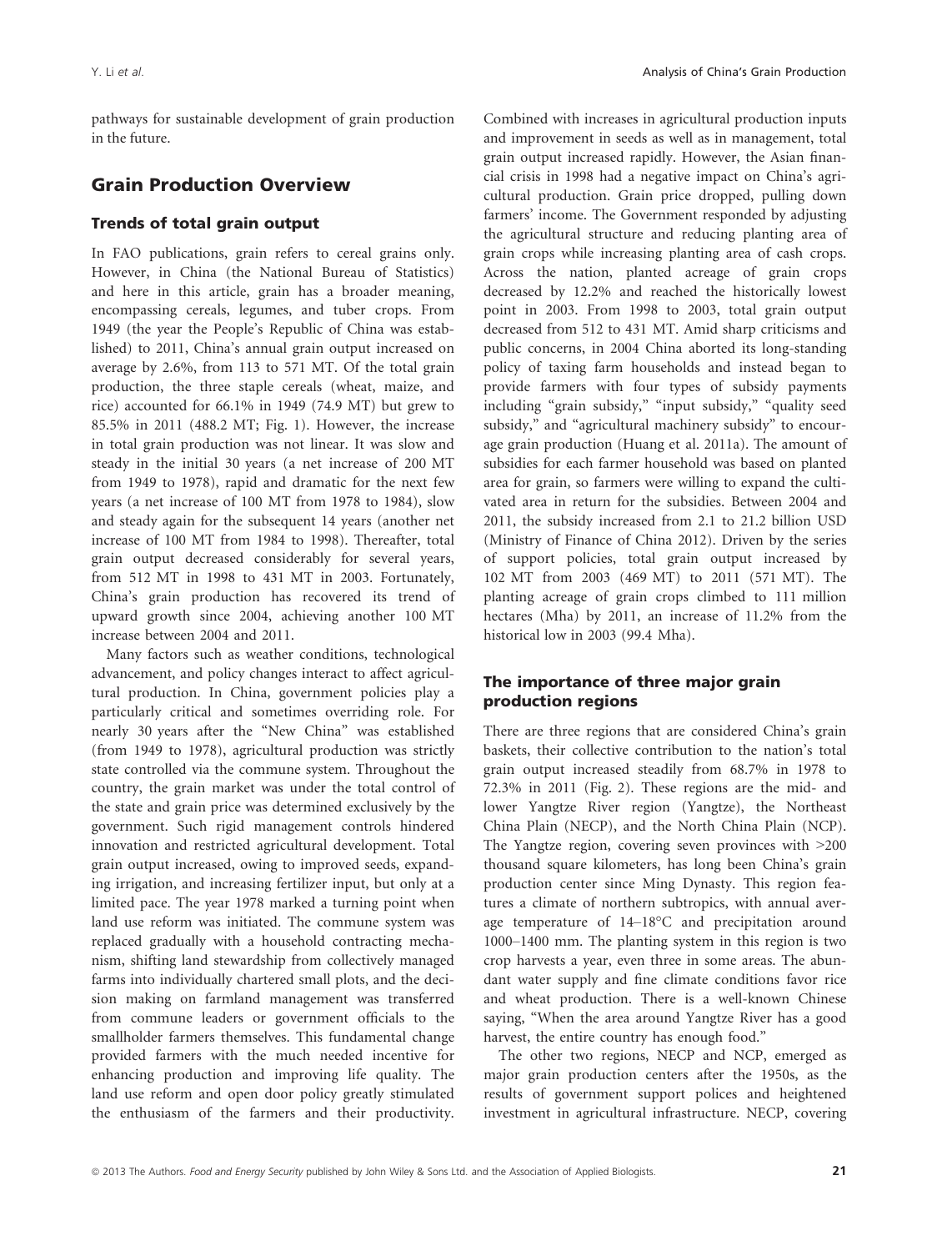pathways for sustainable development of grain production in the future.

# Grain Production Overview

## Trends of total grain output

In FAO publications, grain refers to cereal grains only. However, in China (the National Bureau of Statistics) and here in this article, grain has a broader meaning, encompassing cereals, legumes, and tuber crops. From 1949 (the year the People's Republic of China was established) to 2011, China's annual grain output increased on average by 2.6%, from 113 to 571 MT. Of the total grain production, the three staple cereals (wheat, maize, and rice) accounted for 66.1% in 1949 (74.9 MT) but grew to 85.5% in 2011 (488.2 MT; Fig. 1). However, the increase in total grain production was not linear. It was slow and steady in the initial 30 years (a net increase of 200 MT from 1949 to 1978), rapid and dramatic for the next few years (a net increase of 100 MT from 1978 to 1984), slow and steady again for the subsequent 14 years (another net increase of 100 MT from 1984 to 1998). Thereafter, total grain output decreased considerably for several years, from 512 MT in 1998 to 431 MT in 2003. Fortunately, China's grain production has recovered its trend of upward growth since 2004, achieving another 100 MT increase between 2004 and 2011.

Many factors such as weather conditions, technological advancement, and policy changes interact to affect agricultural production. In China, government policies play a particularly critical and sometimes overriding role. For nearly 30 years after the "New China" was established (from 1949 to 1978), agricultural production was strictly state controlled via the commune system. Throughout the country, the grain market was under the total control of the state and grain price was determined exclusively by the government. Such rigid management controls hindered innovation and restricted agricultural development. Total grain output increased, owing to improved seeds, expanding irrigation, and increasing fertilizer input, but only at a limited pace. The year 1978 marked a turning point when land use reform was initiated. The commune system was replaced gradually with a household contracting mechanism, shifting land stewardship from collectively managed farms into individually chartered small plots, and the decision making on farmland management was transferred from commune leaders or government officials to the smallholder farmers themselves. This fundamental change provided farmers with the much needed incentive for enhancing production and improving life quality. The land use reform and open door policy greatly stimulated the enthusiasm of the farmers and their productivity. Combined with increases in agricultural production inputs and improvement in seeds as well as in management, total grain output increased rapidly. However, the Asian financial crisis in 1998 had a negative impact on China's agricultural production. Grain price dropped, pulling down farmers' income. The Government responded by adjusting the agricultural structure and reducing planting area of grain crops while increasing planting area of cash crops. Across the nation, planted acreage of grain crops decreased by 12.2% and reached the historically lowest point in 2003. From 1998 to 2003, total grain output decreased from 512 to 431 MT. Amid sharp criticisms and public concerns, in 2004 China aborted its long-standing policy of taxing farm households and instead began to provide farmers with four types of subsidy payments including "grain subsidy," "input subsidy," "quality seed subsidy," and "agricultural machinery subsidy" to encourage grain production (Huang et al. 2011a). The amount of subsidies for each farmer household was based on planted area for grain, so farmers were willing to expand the cultivated area in return for the subsidies. Between 2004 and 2011, the subsidy increased from 2.1 to 21.2 billion USD (Ministry of Finance of China 2012). Driven by the series of support policies, total grain output increased by 102 MT from 2003 (469 MT) to 2011 (571 MT). The planting acreage of grain crops climbed to 111 million hectares (Mha) by 2011, an increase of 11.2% from the historical low in 2003 (99.4 Mha).

## The importance of three major grain production regions

There are three regions that are considered China's grain baskets, their collective contribution to the nation's total grain output increased steadily from 68.7% in 1978 to 72.3% in 2011 (Fig. 2). These regions are the mid- and lower Yangtze River region (Yangtze), the Northeast China Plain (NECP), and the North China Plain (NCP). The Yangtze region, covering seven provinces with >200 thousand square kilometers, has long been China's grain production center since Ming Dynasty. This region features a climate of northern subtropics, with annual average temperature of 14–18°C and precipitation around 1000–1400 mm. The planting system in this region is two crop harvests a year, even three in some areas. The abundant water supply and fine climate conditions favor rice and wheat production. There is a well-known Chinese saying, "When the area around Yangtze River has a good harvest, the entire country has enough food."

The other two regions, NECP and NCP, emerged as major grain production centers after the 1950s, as the results of government support polices and heightened investment in agricultural infrastructure. NECP, covering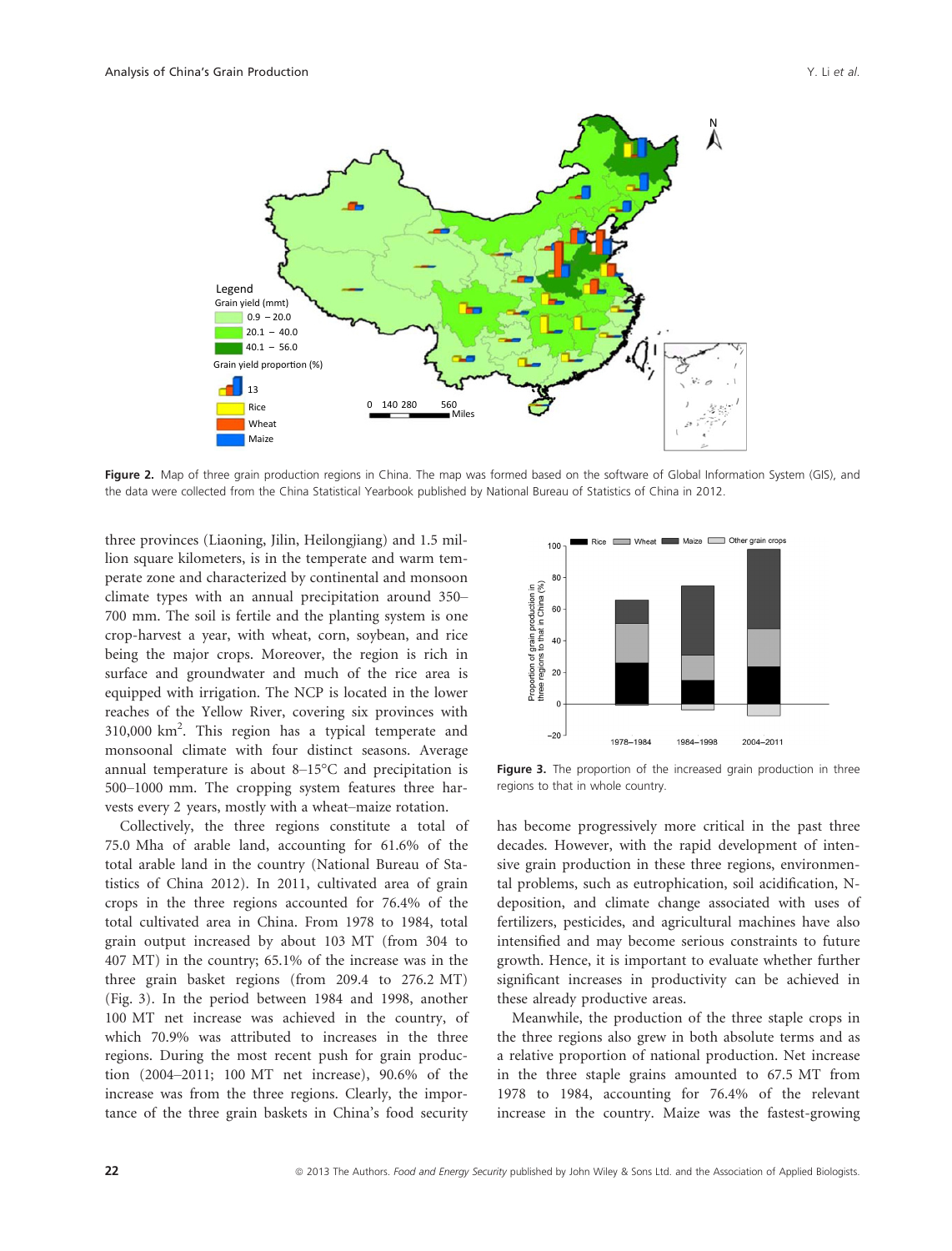

Figure 2. Map of three grain production regions in China. The map was formed based on the software of Global Information System (GIS), and the data were collected from the China Statistical Yearbook published by National Bureau of Statistics of China in 2012.

three provinces (Liaoning, Jilin, Heilongjiang) and 1.5 million square kilometers, is in the temperate and warm temperate zone and characterized by continental and monsoon climate types with an annual precipitation around 350– 700 mm. The soil is fertile and the planting system is one crop-harvest a year, with wheat, corn, soybean, and rice being the major crops. Moreover, the region is rich in surface and groundwater and much of the rice area is equipped with irrigation. The NCP is located in the lower reaches of the Yellow River, covering six provinces with 310,000 km<sup>2</sup>. This region has a typical temperate and monsoonal climate with four distinct seasons. Average annual temperature is about 8–15°C and precipitation is 500–1000 mm. The cropping system features three harvests every 2 years, mostly with a wheat–maize rotation.

Collectively, the three regions constitute a total of 75.0 Mha of arable land, accounting for 61.6% of the total arable land in the country (National Bureau of Statistics of China 2012). In 2011, cultivated area of grain crops in the three regions accounted for 76.4% of the total cultivated area in China. From 1978 to 1984, total grain output increased by about 103 MT (from 304 to 407 MT) in the country; 65.1% of the increase was in the three grain basket regions (from 209.4 to 276.2 MT) (Fig. 3). In the period between 1984 and 1998, another 100 MT net increase was achieved in the country, of which 70.9% was attributed to increases in the three regions. During the most recent push for grain production (2004–2011; 100 MT net increase), 90.6% of the increase was from the three regions. Clearly, the importance of the three grain baskets in China's food security



Figure 3. The proportion of the increased grain production in three regions to that in whole country.

has become progressively more critical in the past three decades. However, with the rapid development of intensive grain production in these three regions, environmental problems, such as eutrophication, soil acidification, Ndeposition, and climate change associated with uses of fertilizers, pesticides, and agricultural machines have also intensified and may become serious constraints to future growth. Hence, it is important to evaluate whether further significant increases in productivity can be achieved in these already productive areas.

Meanwhile, the production of the three staple crops in the three regions also grew in both absolute terms and as a relative proportion of national production. Net increase in the three staple grains amounted to 67.5 MT from 1978 to 1984, accounting for 76.4% of the relevant increase in the country. Maize was the fastest-growing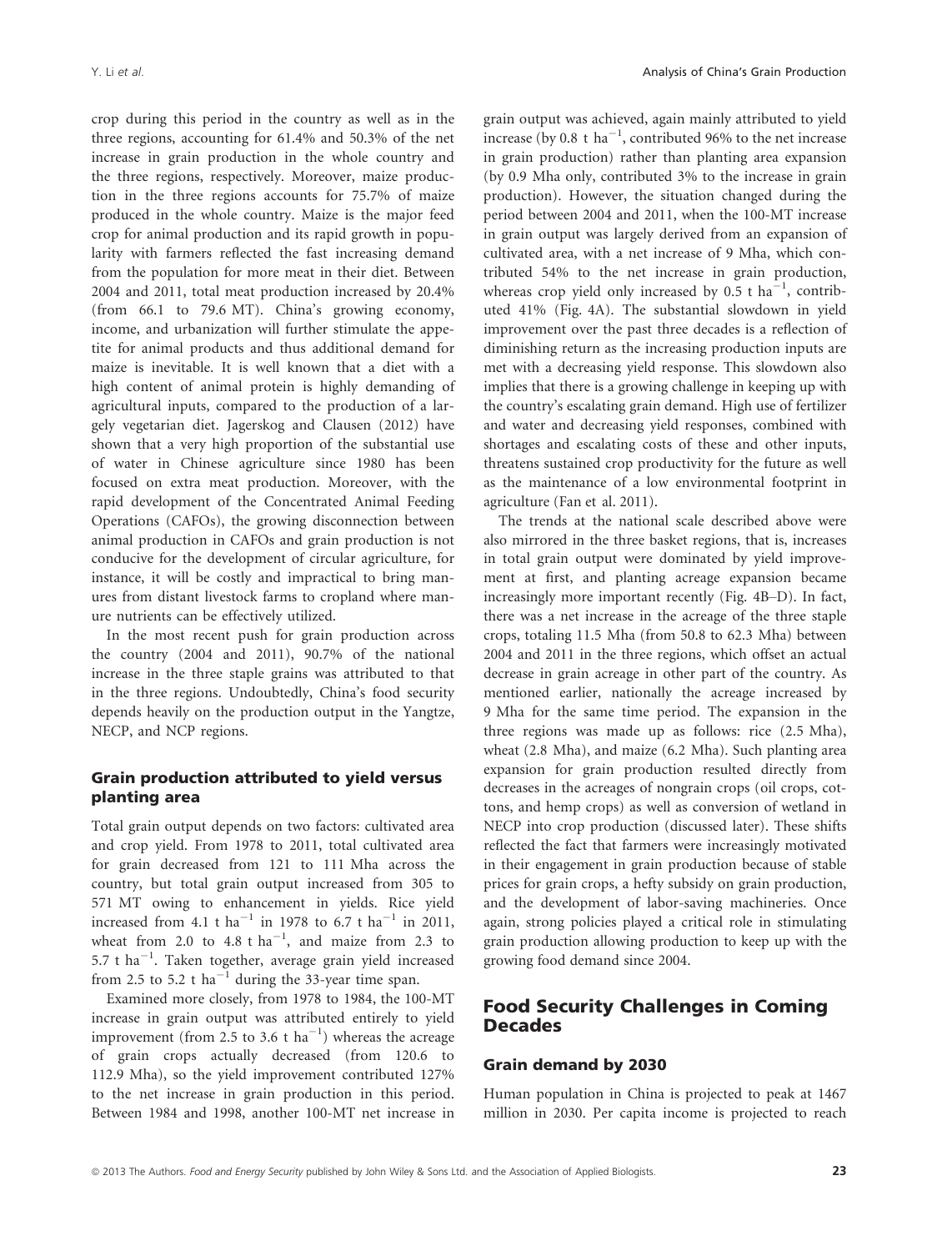crop during this period in the country as well as in the three regions, accounting for 61.4% and 50.3% of the net increase in grain production in the whole country and the three regions, respectively. Moreover, maize production in the three regions accounts for 75.7% of maize produced in the whole country. Maize is the major feed crop for animal production and its rapid growth in popularity with farmers reflected the fast increasing demand from the population for more meat in their diet. Between 2004 and 2011, total meat production increased by 20.4% (from 66.1 to 79.6 MT). China's growing economy, income, and urbanization will further stimulate the appetite for animal products and thus additional demand for maize is inevitable. It is well known that a diet with a high content of animal protein is highly demanding of agricultural inputs, compared to the production of a largely vegetarian diet. Jagerskog and Clausen (2012) have shown that a very high proportion of the substantial use of water in Chinese agriculture since 1980 has been focused on extra meat production. Moreover, with the rapid development of the Concentrated Animal Feeding Operations (CAFOs), the growing disconnection between animal production in CAFOs and grain production is not conducive for the development of circular agriculture, for instance, it will be costly and impractical to bring manures from distant livestock farms to cropland where manure nutrients can be effectively utilized.

In the most recent push for grain production across the country (2004 and 2011), 90.7% of the national increase in the three staple grains was attributed to that in the three regions. Undoubtedly, China's food security depends heavily on the production output in the Yangtze, NECP, and NCP regions.

## Grain production attributed to yield versus planting area

Total grain output depends on two factors: cultivated area and crop yield. From 1978 to 2011, total cultivated area for grain decreased from 121 to 111 Mha across the country, but total grain output increased from 305 to 571 MT owing to enhancement in yields. Rice yield increased from 4.1 t ha<sup>-1</sup> in 1978 to 6.7 t ha<sup>-1</sup> in 2011, wheat from 2.0 to 4.8 t  $ha^{-1}$ , and maize from 2.3 to 5.7 t  $ha^{-1}$ . Taken together, average grain yield increased from 2.5 to 5.2 t ha<sup>-1</sup> during the 33-year time span.

Examined more closely, from 1978 to 1984, the 100-MT increase in grain output was attributed entirely to yield improvement (from 2.5 to 3.6 t  $ha^{-1}$ ) whereas the acreage of grain crops actually decreased (from 120.6 to 112.9 Mha), so the yield improvement contributed 127% to the net increase in grain production in this period. Between 1984 and 1998, another 100-MT net increase in grain output was achieved, again mainly attributed to yield increase (by 0.8 t  $ha^{-1}$ , contributed 96% to the net increase in grain production) rather than planting area expansion (by 0.9 Mha only, contributed 3% to the increase in grain production). However, the situation changed during the period between 2004 and 2011, when the 100-MT increase in grain output was largely derived from an expansion of cultivated area, with a net increase of 9 Mha, which contributed 54% to the net increase in grain production, whereas crop yield only increased by 0.5 t ha<sup>-1</sup>, contributed 41% (Fig. 4A). The substantial slowdown in yield improvement over the past three decades is a reflection of diminishing return as the increasing production inputs are met with a decreasing yield response. This slowdown also implies that there is a growing challenge in keeping up with the country's escalating grain demand. High use of fertilizer and water and decreasing yield responses, combined with shortages and escalating costs of these and other inputs, threatens sustained crop productivity for the future as well as the maintenance of a low environmental footprint in agriculture (Fan et al. 2011).

The trends at the national scale described above were also mirrored in the three basket regions, that is, increases in total grain output were dominated by yield improvement at first, and planting acreage expansion became increasingly more important recently (Fig. 4B–D). In fact, there was a net increase in the acreage of the three staple crops, totaling 11.5 Mha (from 50.8 to 62.3 Mha) between 2004 and 2011 in the three regions, which offset an actual decrease in grain acreage in other part of the country. As mentioned earlier, nationally the acreage increased by 9 Mha for the same time period. The expansion in the three regions was made up as follows: rice (2.5 Mha), wheat (2.8 Mha), and maize (6.2 Mha). Such planting area expansion for grain production resulted directly from decreases in the acreages of nongrain crops (oil crops, cottons, and hemp crops) as well as conversion of wetland in NECP into crop production (discussed later). These shifts reflected the fact that farmers were increasingly motivated in their engagement in grain production because of stable prices for grain crops, a hefty subsidy on grain production, and the development of labor-saving machineries. Once again, strong policies played a critical role in stimulating grain production allowing production to keep up with the growing food demand since 2004.

# Food Security Challenges in Coming Decades

### Grain demand by 2030

Human population in China is projected to peak at 1467 million in 2030. Per capita income is projected to reach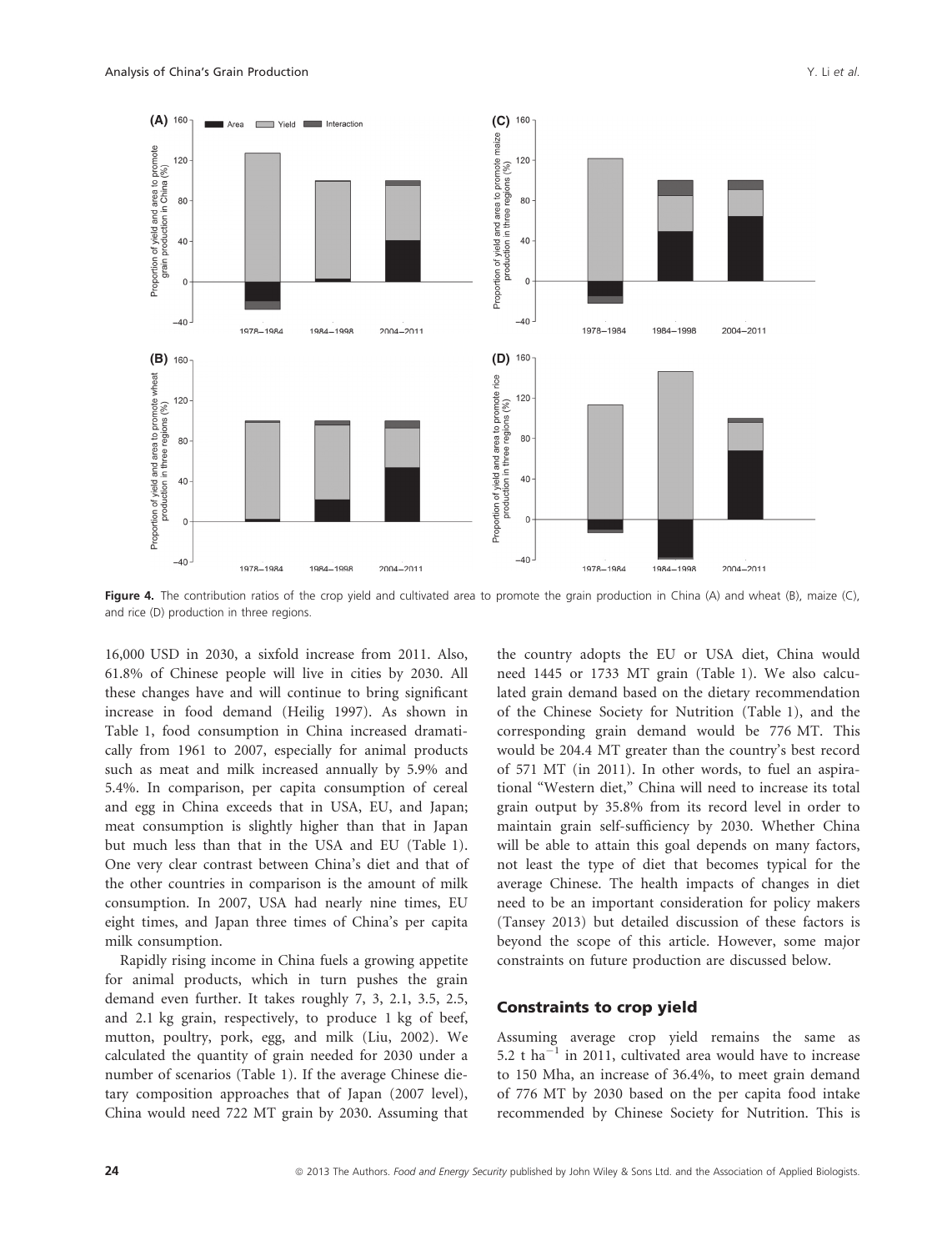

Figure 4. The contribution ratios of the crop yield and cultivated area to promote the grain production in China (A) and wheat (B), maize (C), and rice (D) production in three regions.

16,000 USD in 2030, a sixfold increase from 2011. Also, 61.8% of Chinese people will live in cities by 2030. All these changes have and will continue to bring significant increase in food demand (Heilig 1997). As shown in Table 1, food consumption in China increased dramatically from 1961 to 2007, especially for animal products such as meat and milk increased annually by 5.9% and 5.4%. In comparison, per capita consumption of cereal and egg in China exceeds that in USA, EU, and Japan; meat consumption is slightly higher than that in Japan but much less than that in the USA and EU (Table 1). One very clear contrast between China's diet and that of the other countries in comparison is the amount of milk consumption. In 2007, USA had nearly nine times, EU eight times, and Japan three times of China's per capita milk consumption.

Rapidly rising income in China fuels a growing appetite for animal products, which in turn pushes the grain demand even further. It takes roughly 7, 3, 2.1, 3.5, 2.5, and 2.1 kg grain, respectively, to produce 1 kg of beef, mutton, poultry, pork, egg, and milk (Liu, 2002). We calculated the quantity of grain needed for 2030 under a number of scenarios (Table 1). If the average Chinese dietary composition approaches that of Japan (2007 level), China would need 722 MT grain by 2030. Assuming that

the country adopts the EU or USA diet, China would need 1445 or 1733 MT grain (Table 1). We also calculated grain demand based on the dietary recommendation of the Chinese Society for Nutrition (Table 1), and the corresponding grain demand would be 776 MT. This would be 204.4 MT greater than the country's best record of 571 MT (in 2011). In other words, to fuel an aspirational "Western diet," China will need to increase its total grain output by 35.8% from its record level in order to maintain grain self-sufficiency by 2030. Whether China will be able to attain this goal depends on many factors, not least the type of diet that becomes typical for the average Chinese. The health impacts of changes in diet need to be an important consideration for policy makers (Tansey 2013) but detailed discussion of these factors is beyond the scope of this article. However, some major constraints on future production are discussed below.

### Constraints to crop yield

Assuming average crop yield remains the same as 5.2 t  $ha^{-1}$  in 2011, cultivated area would have to increase to 150 Mha, an increase of 36.4%, to meet grain demand of 776 MT by 2030 based on the per capita food intake recommended by Chinese Society for Nutrition. This is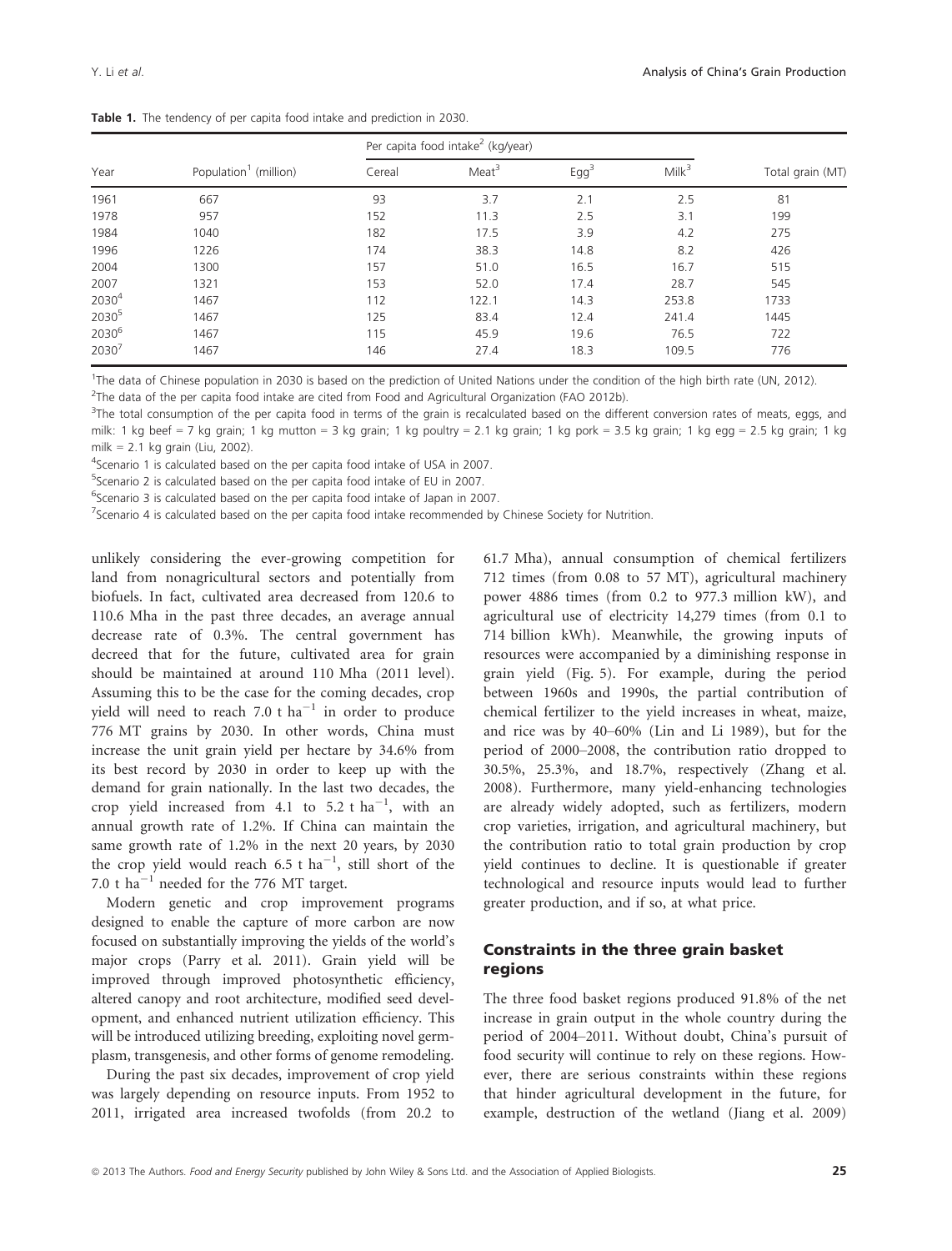|                   |                                   | Per capita food intake <sup>2</sup> (kg/year) |                   |                  |                   |                  |  |
|-------------------|-----------------------------------|-----------------------------------------------|-------------------|------------------|-------------------|------------------|--|
| Year              | Population <sup>1</sup> (million) | Cereal                                        | Meat <sup>3</sup> | Egg <sup>3</sup> | Milk <sup>3</sup> | Total grain (MT) |  |
| 1961              | 667                               | 93                                            | 3.7               | 2.1              | 2.5               | 81               |  |
| 1978              | 957                               | 152                                           | 11.3              | 2.5              | 3.1               | 199              |  |
| 1984              | 1040                              | 182                                           | 17.5              | 3.9              | 4.2               | 275              |  |
| 1996              | 1226                              | 174                                           | 38.3              | 14.8             | 8.2               | 426              |  |
| 2004              | 1300                              | 157                                           | 51.0              | 16.5             | 16.7              | 515              |  |
| 2007              | 1321                              | 153                                           | 52.0              | 17.4             | 28.7              | 545              |  |
| 2030 <sup>4</sup> | 1467                              | 112                                           | 122.1             | 14.3             | 253.8             | 1733             |  |
| 2030 <sup>5</sup> | 1467                              | 125                                           | 83.4              | 12.4             | 241.4             | 1445             |  |
| 2030 <sup>6</sup> | 1467                              | 115                                           | 45.9              | 19.6             | 76.5              | 722              |  |
| 2030 <sup>7</sup> | 1467                              | 146                                           | 27.4              | 18.3             | 109.5             | 776              |  |

|  |  |  |  |  |  |  |  | Table 1. The tendency of per capita food intake and prediction in 2030. |  |
|--|--|--|--|--|--|--|--|-------------------------------------------------------------------------|--|
|--|--|--|--|--|--|--|--|-------------------------------------------------------------------------|--|

1 The data of Chinese population in 2030 is based on the prediction of United Nations under the condition of the high birth rate (UN, 2012).  $^2$ The data of the per capita food intake are cited from Food and Agricultural Organization (FAO 2012b).

<sup>3</sup>The total consumption of the per capita food in terms of the grain is recalculated based on the different conversion rates of meats, eggs, and milk: 1 kg beef = 7 kg grain; 1 kg mutton = 3 kg grain; 1 kg poultry = 2.1 kg grain; 1 kg pork = 3.5 kg grain; 1 kg egg = 2.5 kg grain; 1 kg milk = 2.1 kg grain (Liu, 2002).

<sup>4</sup>Scenario 1 is calculated based on the per capita food intake of USA in 2007.

5 Scenario 2 is calculated based on the per capita food intake of EU in 2007.

<sup>6</sup>Scenario 3 is calculated based on the per capita food intake of Japan in 2007.

<sup>7</sup>Scenario 4 is calculated based on the per capita food intake recommended by Chinese Society for Nutrition.

unlikely considering the ever-growing competition for land from nonagricultural sectors and potentially from biofuels. In fact, cultivated area decreased from 120.6 to 110.6 Mha in the past three decades, an average annual decrease rate of 0.3%. The central government has decreed that for the future, cultivated area for grain should be maintained at around 110 Mha (2011 level). Assuming this to be the case for the coming decades, crop yield will need to reach 7.0 t  $ha^{-1}$  in order to produce 776 MT grains by 2030. In other words, China must increase the unit grain yield per hectare by 34.6% from its best record by 2030 in order to keep up with the demand for grain nationally. In the last two decades, the crop yield increased from 4.1 to 5.2 t  $ha^{-1}$ , with an annual growth rate of 1.2%. If China can maintain the same growth rate of 1.2% in the next 20 years, by 2030 the crop yield would reach 6.5 t  $ha^{-1}$ , still short of the 7.0 t  $ha^{-1}$  needed for the 776 MT target.

Modern genetic and crop improvement programs designed to enable the capture of more carbon are now focused on substantially improving the yields of the world's major crops (Parry et al. 2011). Grain yield will be improved through improved photosynthetic efficiency, altered canopy and root architecture, modified seed development, and enhanced nutrient utilization efficiency. This will be introduced utilizing breeding, exploiting novel germplasm, transgenesis, and other forms of genome remodeling.

During the past six decades, improvement of crop yield was largely depending on resource inputs. From 1952 to 2011, irrigated area increased twofolds (from 20.2 to 61.7 Mha), annual consumption of chemical fertilizers 712 times (from 0.08 to 57 MT), agricultural machinery power 4886 times (from 0.2 to 977.3 million kW), and agricultural use of electricity 14,279 times (from 0.1 to 714 billion kWh). Meanwhile, the growing inputs of resources were accompanied by a diminishing response in grain yield (Fig. 5). For example, during the period between 1960s and 1990s, the partial contribution of chemical fertilizer to the yield increases in wheat, maize, and rice was by 40–60% (Lin and Li 1989), but for the period of 2000–2008, the contribution ratio dropped to 30.5%, 25.3%, and 18.7%, respectively (Zhang et al. 2008). Furthermore, many yield-enhancing technologies are already widely adopted, such as fertilizers, modern crop varieties, irrigation, and agricultural machinery, but the contribution ratio to total grain production by crop yield continues to decline. It is questionable if greater technological and resource inputs would lead to further greater production, and if so, at what price.

## Constraints in the three grain basket regions

The three food basket regions produced 91.8% of the net increase in grain output in the whole country during the period of 2004–2011. Without doubt, China's pursuit of food security will continue to rely on these regions. However, there are serious constraints within these regions that hinder agricultural development in the future, for example, destruction of the wetland (Jiang et al. 2009)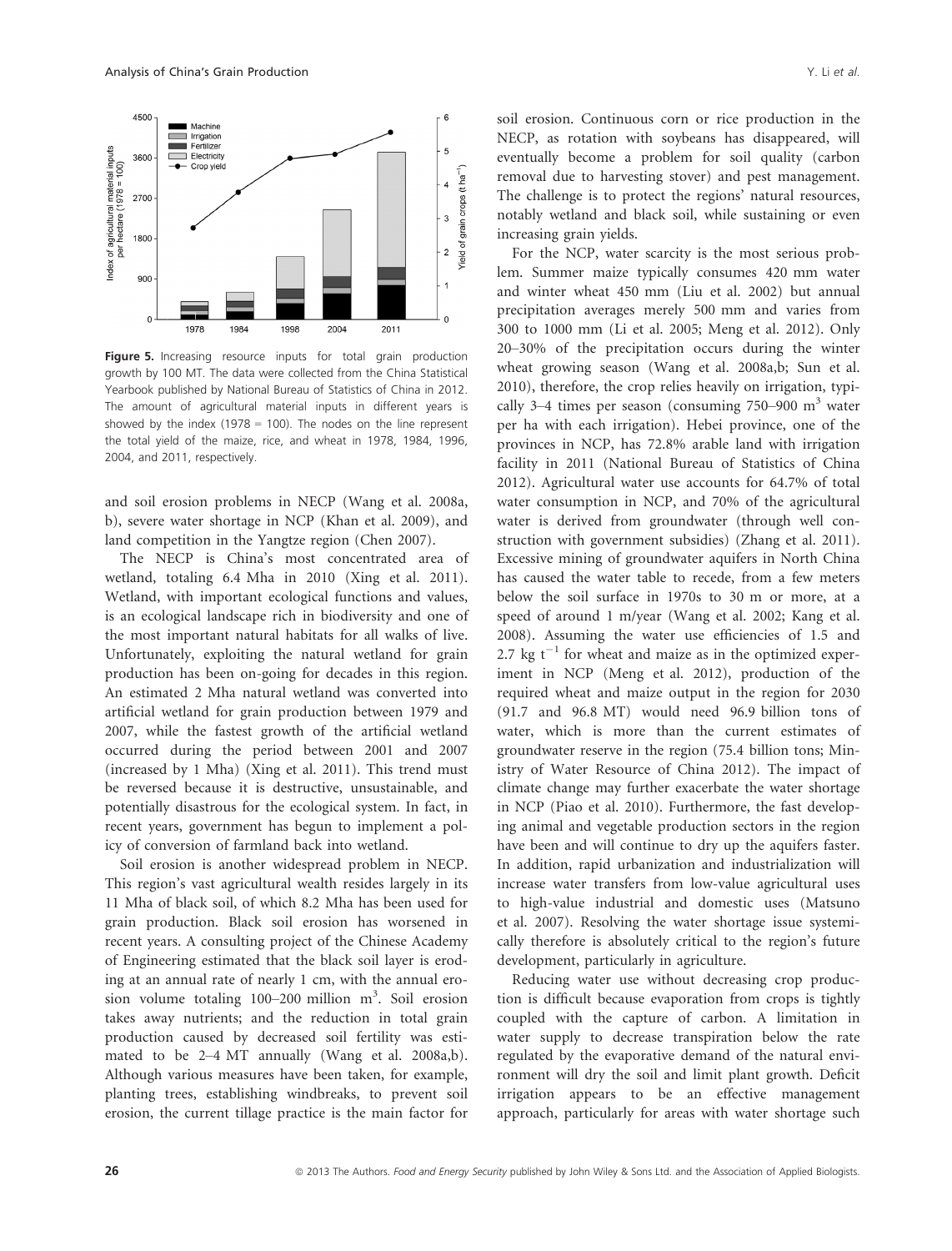Machine Irrigation<br>Fertilizer

Electricity - Crop viek

4500

3600

2700

1800

900

Index of agricultural material inputs<br>per hectare (1978 = 100)



 $\overline{3}$ 

 $\overline{2}$ 

 $\overline{1}$ 

 $\Omega$  $\Omega$ 1978 1984 1998 2004 2011 Figure 5. Increasing resource inputs for total grain production growth by 100 MT. The data were collected from the China Statistical Yearbook published by National Bureau of Statistics of China in 2012. The amount of agricultural material inputs in different years is showed by the index (1978 = 100). The nodes on the line represent the total yield of the maize, rice, and wheat in 1978, 1984, 1996, 2004, and 2011, respectively.

and soil erosion problems in NECP (Wang et al. 2008a, b), severe water shortage in NCP (Khan et al. 2009), and land competition in the Yangtze region (Chen 2007).

The NECP is China's most concentrated area of wetland, totaling 6.4 Mha in 2010 (Xing et al. 2011). Wetland, with important ecological functions and values, is an ecological landscape rich in biodiversity and one of the most important natural habitats for all walks of live. Unfortunately, exploiting the natural wetland for grain production has been on-going for decades in this region. An estimated 2 Mha natural wetland was converted into artificial wetland for grain production between 1979 and 2007, while the fastest growth of the artificial wetland occurred during the period between 2001 and 2007 (increased by 1 Mha) (Xing et al. 2011). This trend must be reversed because it is destructive, unsustainable, and potentially disastrous for the ecological system. In fact, in recent years, government has begun to implement a policy of conversion of farmland back into wetland.

Soil erosion is another widespread problem in NECP. This region's vast agricultural wealth resides largely in its 11 Mha of black soil, of which 8.2 Mha has been used for grain production. Black soil erosion has worsened in recent years. A consulting project of the Chinese Academy of Engineering estimated that the black soil layer is eroding at an annual rate of nearly 1 cm, with the annual erosion volume totaling  $100-200$  million m<sup>3</sup>. Soil erosion takes away nutrients; and the reduction in total grain production caused by decreased soil fertility was estimated to be 2–4 MT annually (Wang et al. 2008a,b). Although various measures have been taken, for example, planting trees, establishing windbreaks, to prevent soil erosion, the current tillage practice is the main factor for

soil erosion. Continuous corn or rice production in the NECP, as rotation with soybeans has disappeared, will eventually become a problem for soil quality (carbon removal due to harvesting stover) and pest management. The challenge is to protect the regions' natural resources, notably wetland and black soil, while sustaining or even increasing grain yields.

For the NCP, water scarcity is the most serious problem. Summer maize typically consumes 420 mm water and winter wheat 450 mm (Liu et al. 2002) but annual precipitation averages merely 500 mm and varies from 300 to 1000 mm (Li et al. 2005; Meng et al. 2012). Only 20–30% of the precipitation occurs during the winter wheat growing season (Wang et al. 2008a,b; Sun et al. 2010), therefore, the crop relies heavily on irrigation, typically 3–4 times per season (consuming  $750-900$  m<sup>3</sup> water per ha with each irrigation). Hebei province, one of the provinces in NCP, has 72.8% arable land with irrigation facility in 2011 (National Bureau of Statistics of China 2012). Agricultural water use accounts for 64.7% of total water consumption in NCP, and 70% of the agricultural water is derived from groundwater (through well construction with government subsidies) (Zhang et al. 2011). Excessive mining of groundwater aquifers in North China has caused the water table to recede, from a few meters below the soil surface in 1970s to 30 m or more, at a speed of around 1 m/year (Wang et al. 2002; Kang et al. 2008). Assuming the water use efficiencies of 1.5 and 2.7 kg  $t^{-1}$  for wheat and maize as in the optimized experiment in NCP (Meng et al. 2012), production of the required wheat and maize output in the region for 2030 (91.7 and 96.8 MT) would need 96.9 billion tons of water, which is more than the current estimates of groundwater reserve in the region (75.4 billion tons; Ministry of Water Resource of China 2012). The impact of climate change may further exacerbate the water shortage in NCP (Piao et al. 2010). Furthermore, the fast developing animal and vegetable production sectors in the region have been and will continue to dry up the aquifers faster. In addition, rapid urbanization and industrialization will increase water transfers from low-value agricultural uses to high-value industrial and domestic uses (Matsuno et al. 2007). Resolving the water shortage issue systemically therefore is absolutely critical to the region's future development, particularly in agriculture.

Reducing water use without decreasing crop production is difficult because evaporation from crops is tightly coupled with the capture of carbon. A limitation in water supply to decrease transpiration below the rate regulated by the evaporative demand of the natural environment will dry the soil and limit plant growth. Deficit irrigation appears to be an effective management approach, particularly for areas with water shortage such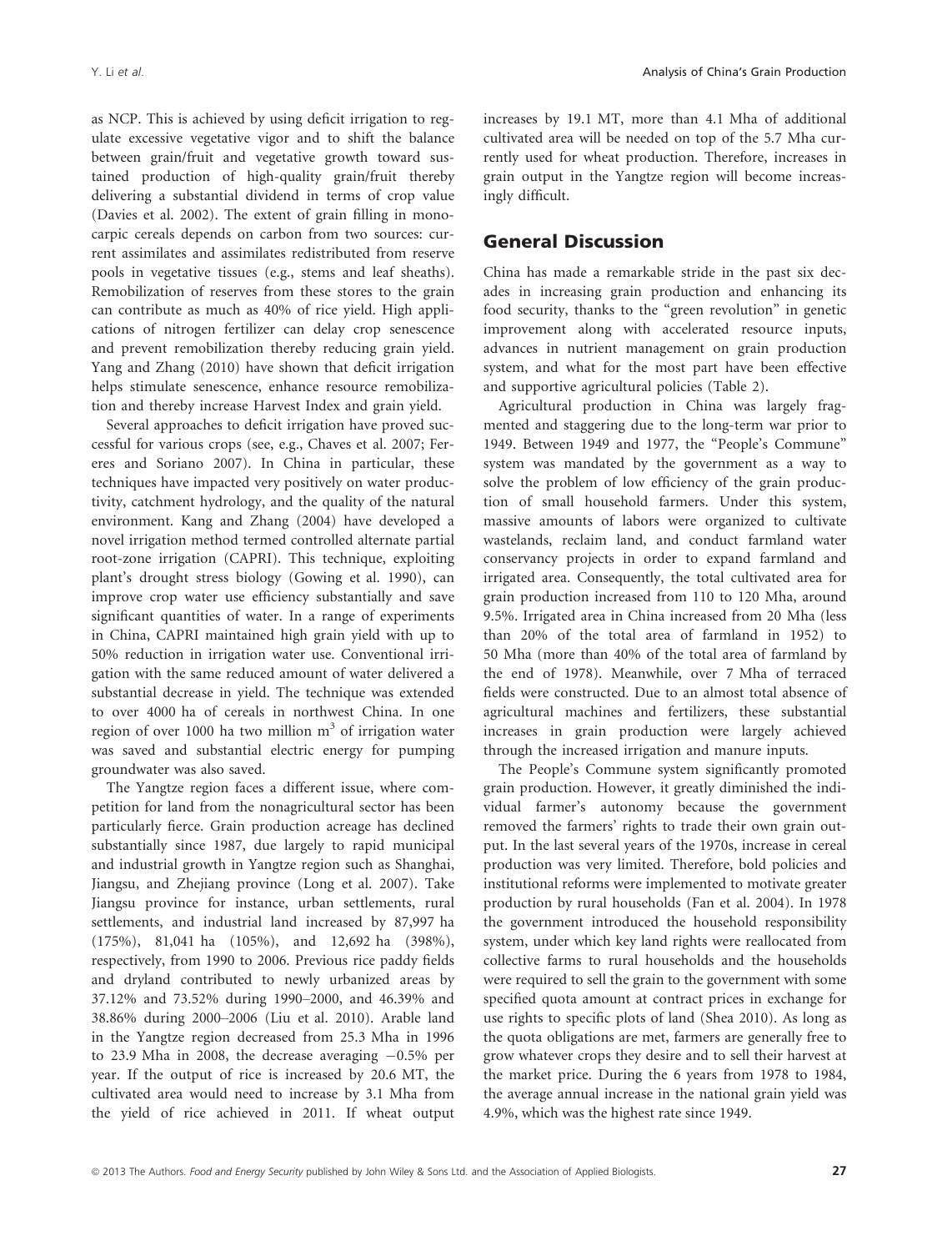as NCP. This is achieved by using deficit irrigation to regulate excessive vegetative vigor and to shift the balance between grain/fruit and vegetative growth toward sustained production of high-quality grain/fruit thereby delivering a substantial dividend in terms of crop value (Davies et al. 2002). The extent of grain filling in monocarpic cereals depends on carbon from two sources: current assimilates and assimilates redistributed from reserve pools in vegetative tissues (e.g., stems and leaf sheaths). Remobilization of reserves from these stores to the grain can contribute as much as 40% of rice yield. High applications of nitrogen fertilizer can delay crop senescence and prevent remobilization thereby reducing grain yield. Yang and Zhang (2010) have shown that deficit irrigation helps stimulate senescence, enhance resource remobilization and thereby increase Harvest Index and grain yield.

Several approaches to deficit irrigation have proved successful for various crops (see, e.g., Chaves et al. 2007; Fereres and Soriano 2007). In China in particular, these techniques have impacted very positively on water productivity, catchment hydrology, and the quality of the natural environment. Kang and Zhang (2004) have developed a novel irrigation method termed controlled alternate partial root-zone irrigation (CAPRI). This technique, exploiting plant's drought stress biology (Gowing et al. 1990), can improve crop water use efficiency substantially and save significant quantities of water. In a range of experiments in China, CAPRI maintained high grain yield with up to 50% reduction in irrigation water use. Conventional irrigation with the same reduced amount of water delivered a substantial decrease in yield. The technique was extended to over 4000 ha of cereals in northwest China. In one region of over 1000 ha two million  $m<sup>3</sup>$  of irrigation water was saved and substantial electric energy for pumping groundwater was also saved.

The Yangtze region faces a different issue, where competition for land from the nonagricultural sector has been particularly fierce. Grain production acreage has declined substantially since 1987, due largely to rapid municipal and industrial growth in Yangtze region such as Shanghai, Jiangsu, and Zhejiang province (Long et al. 2007). Take Jiangsu province for instance, urban settlements, rural settlements, and industrial land increased by 87,997 ha (175%), 81,041 ha (105%), and 12,692 ha (398%), respectively, from 1990 to 2006. Previous rice paddy fields and dryland contributed to newly urbanized areas by 37.12% and 73.52% during 1990–2000, and 46.39% and 38.86% during 2000–2006 (Liu et al. 2010). Arable land in the Yangtze region decreased from 25.3 Mha in 1996 to 23.9 Mha in 2008, the decrease averaging  $-0.5\%$  per year. If the output of rice is increased by 20.6 MT, the cultivated area would need to increase by 3.1 Mha from the yield of rice achieved in 2011. If wheat output increases by 19.1 MT, more than 4.1 Mha of additional cultivated area will be needed on top of the 5.7 Mha currently used for wheat production. Therefore, increases in grain output in the Yangtze region will become increasingly difficult.

## General Discussion

China has made a remarkable stride in the past six decades in increasing grain production and enhancing its food security, thanks to the "green revolution" in genetic improvement along with accelerated resource inputs, advances in nutrient management on grain production system, and what for the most part have been effective and supportive agricultural policies (Table 2).

Agricultural production in China was largely fragmented and staggering due to the long-term war prior to 1949. Between 1949 and 1977, the "People's Commune" system was mandated by the government as a way to solve the problem of low efficiency of the grain production of small household farmers. Under this system, massive amounts of labors were organized to cultivate wastelands, reclaim land, and conduct farmland water conservancy projects in order to expand farmland and irrigated area. Consequently, the total cultivated area for grain production increased from 110 to 120 Mha, around 9.5%. Irrigated area in China increased from 20 Mha (less than 20% of the total area of farmland in 1952) to 50 Mha (more than 40% of the total area of farmland by the end of 1978). Meanwhile, over 7 Mha of terraced fields were constructed. Due to an almost total absence of agricultural machines and fertilizers, these substantial increases in grain production were largely achieved through the increased irrigation and manure inputs.

The People's Commune system significantly promoted grain production. However, it greatly diminished the individual farmer's autonomy because the government removed the farmers' rights to trade their own grain output. In the last several years of the 1970s, increase in cereal production was very limited. Therefore, bold policies and institutional reforms were implemented to motivate greater production by rural households (Fan et al. 2004). In 1978 the government introduced the household responsibility system, under which key land rights were reallocated from collective farms to rural households and the households were required to sell the grain to the government with some specified quota amount at contract prices in exchange for use rights to specific plots of land (Shea 2010). As long as the quota obligations are met, farmers are generally free to grow whatever crops they desire and to sell their harvest at the market price. During the 6 years from 1978 to 1984, the average annual increase in the national grain yield was 4.9%, which was the highest rate since 1949.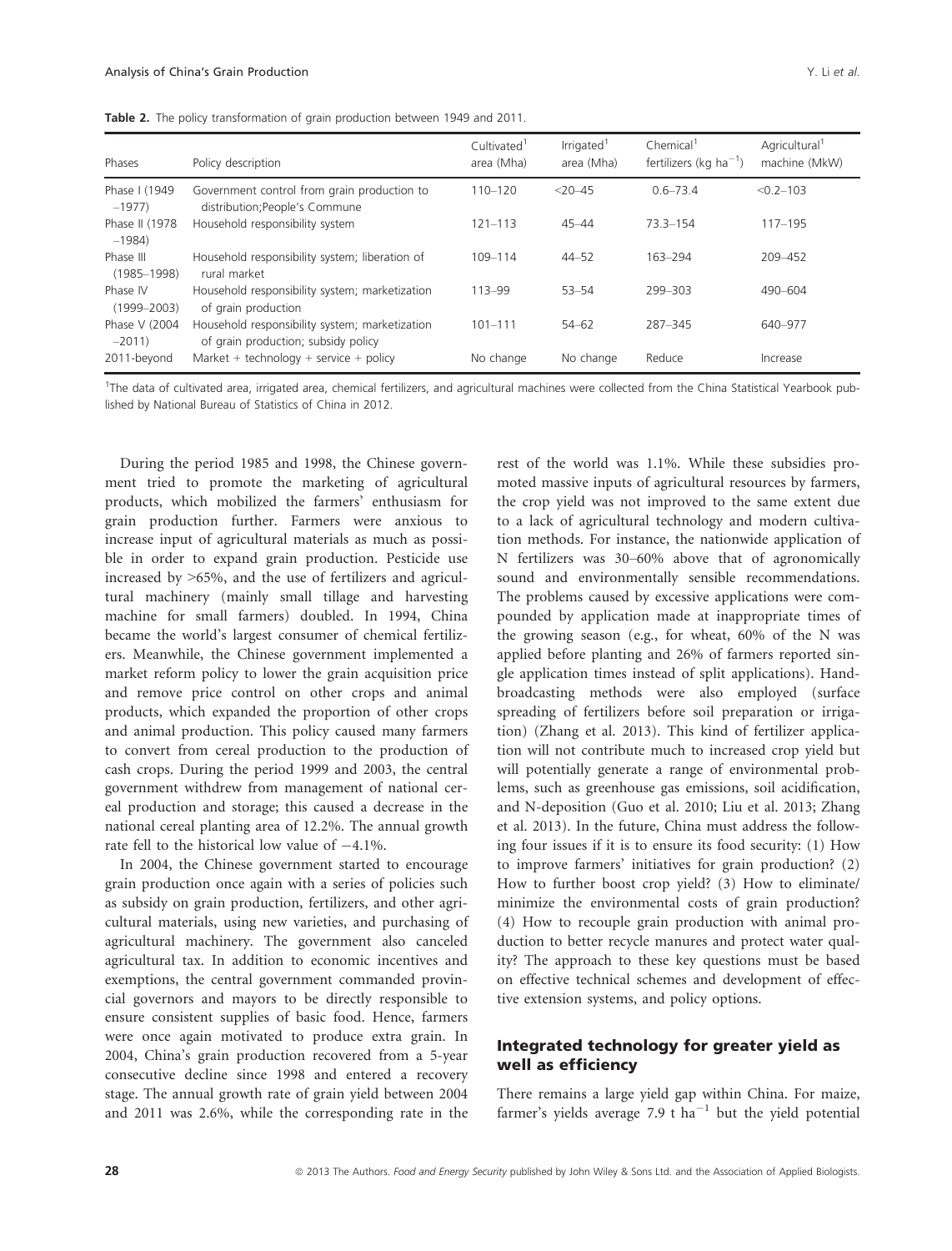Table 2. The policy transformation of grain production between 1949 and 2011.

| Phases                       | Policy description                                                                    | Cultivated <sup>1</sup><br>area (Mha) | Irrigated <sup>1</sup><br>area (Mha) | Chemical <sup>1</sup><br>fertilizers (kg ha <sup>-1</sup> ) | Agricultural <sup>1</sup><br>machine (MkW) |
|------------------------------|---------------------------------------------------------------------------------------|---------------------------------------|--------------------------------------|-------------------------------------------------------------|--------------------------------------------|
| Phase I (1949<br>$-1977$     | Government control from grain production to<br>distribution; People's Commune         | $110 - 120$                           | $<$ 20 $-45$                         | $0.6 - 73.4$                                                | $< 0.2 - 103$                              |
| Phase II (1978<br>$-1984$    | Household responsibility system                                                       | $121 - 113$                           | $45 - 44$                            | 73.3-154                                                    | 117-195                                    |
| Phase III<br>$(1985 - 1998)$ | Household responsibility system; liberation of<br>rural market                        | 109-114                               | $44 - 52$                            | 163-294                                                     | 209-452                                    |
| Phase IV<br>$(1999 - 2003)$  | Household responsibility system; marketization<br>of grain production                 | 113-99                                | $53 - 54$                            | 299-303                                                     | 490-604                                    |
| Phase V (2004<br>$-2011$     | Household responsibility system; marketization<br>of grain production; subsidy policy | $101 - 111$                           | 54 - 62                              | 287-345                                                     | 640-977                                    |
| 2011-beyond                  | Market + technology + service + policy                                                | No change                             | No change                            | Reduce                                                      | Increase                                   |

<sup>1</sup>The data of cultivated area, irrigated area, chemical fertilizers, and agricultural machines were collected from the China Statistical Yearbook published by National Bureau of Statistics of China in 2012.

During the period 1985 and 1998, the Chinese government tried to promote the marketing of agricultural products, which mobilized the farmers' enthusiasm for grain production further. Farmers were anxious to increase input of agricultural materials as much as possible in order to expand grain production. Pesticide use increased by >65%, and the use of fertilizers and agricultural machinery (mainly small tillage and harvesting machine for small farmers) doubled. In 1994, China became the world's largest consumer of chemical fertilizers. Meanwhile, the Chinese government implemented a market reform policy to lower the grain acquisition price and remove price control on other crops and animal products, which expanded the proportion of other crops and animal production. This policy caused many farmers to convert from cereal production to the production of cash crops. During the period 1999 and 2003, the central government withdrew from management of national cereal production and storage; this caused a decrease in the national cereal planting area of 12.2%. The annual growth rate fell to the historical low value of  $-4.1\%$ .

In 2004, the Chinese government started to encourage grain production once again with a series of policies such as subsidy on grain production, fertilizers, and other agricultural materials, using new varieties, and purchasing of agricultural machinery. The government also canceled agricultural tax. In addition to economic incentives and exemptions, the central government commanded provincial governors and mayors to be directly responsible to ensure consistent supplies of basic food. Hence, farmers were once again motivated to produce extra grain. In 2004, China's grain production recovered from a 5-year consecutive decline since 1998 and entered a recovery stage. The annual growth rate of grain yield between 2004 and 2011 was 2.6%, while the corresponding rate in the

rest of the world was 1.1%. While these subsidies promoted massive inputs of agricultural resources by farmers, the crop yield was not improved to the same extent due to a lack of agricultural technology and modern cultivation methods. For instance, the nationwide application of N fertilizers was 30–60% above that of agronomically sound and environmentally sensible recommendations. The problems caused by excessive applications were compounded by application made at inappropriate times of the growing season (e.g., for wheat, 60% of the N was applied before planting and 26% of farmers reported single application times instead of split applications). Handbroadcasting methods were also employed (surface spreading of fertilizers before soil preparation or irrigation) (Zhang et al. 2013). This kind of fertilizer application will not contribute much to increased crop yield but will potentially generate a range of environmental problems, such as greenhouse gas emissions, soil acidification, and N-deposition (Guo et al. 2010; Liu et al. 2013; Zhang et al. 2013). In the future, China must address the following four issues if it is to ensure its food security: (1) How to improve farmers' initiatives for grain production? (2) How to further boost crop yield? (3) How to eliminate/ minimize the environmental costs of grain production? (4) How to recouple grain production with animal production to better recycle manures and protect water quality? The approach to these key questions must be based on effective technical schemes and development of effective extension systems, and policy options.

## Integrated technology for greater yield as well as efficiency

There remains a large yield gap within China. For maize, farmer's yields average 7.9 t  $ha^{-1}$  but the yield potential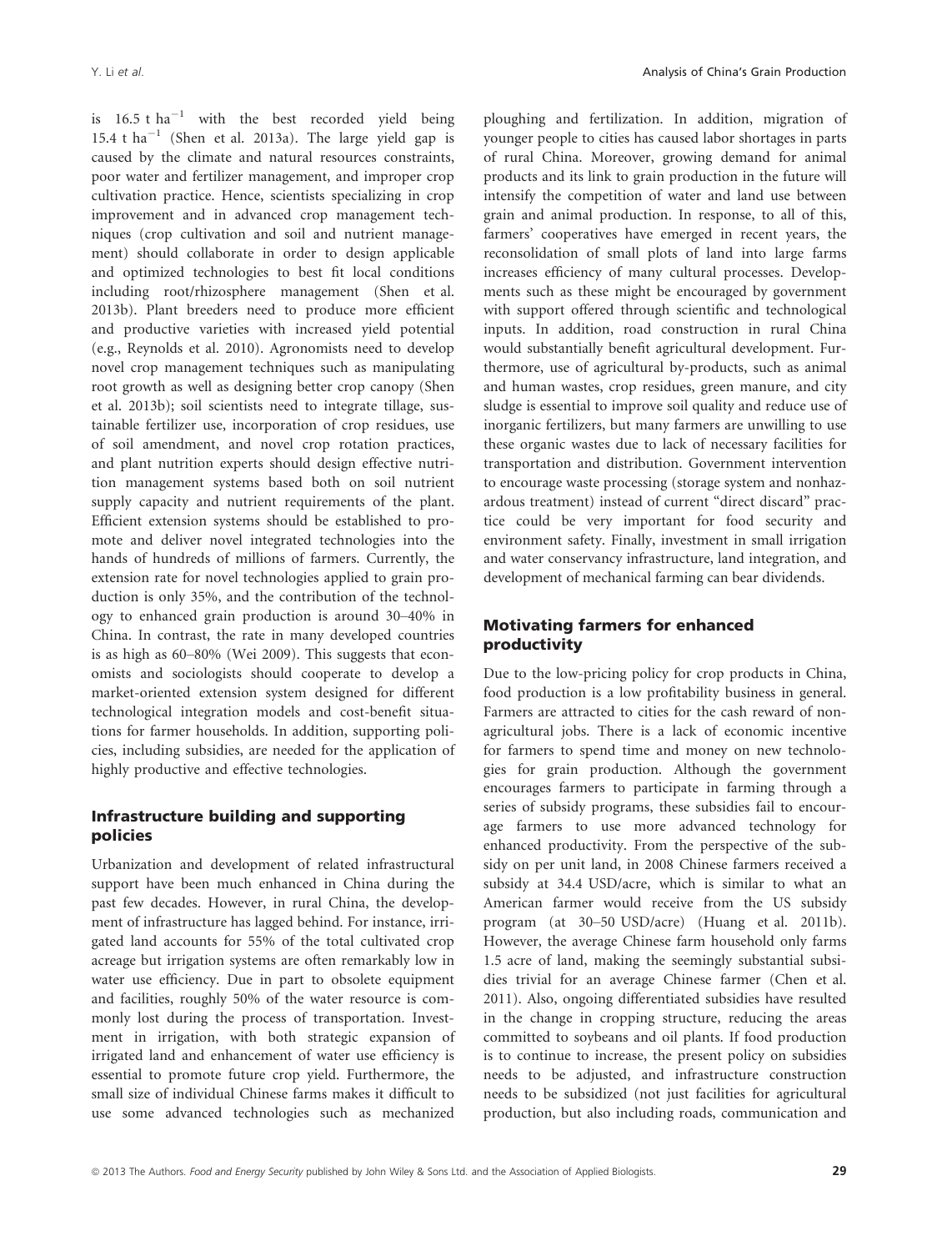is  $16.5$  t ha<sup>-1</sup> with the best recorded yield being 15.4 t ha<sup>-1</sup> (Shen et al. 2013a). The large yield gap is caused by the climate and natural resources constraints, poor water and fertilizer management, and improper crop cultivation practice. Hence, scientists specializing in crop improvement and in advanced crop management techniques (crop cultivation and soil and nutrient management) should collaborate in order to design applicable and optimized technologies to best fit local conditions including root/rhizosphere management (Shen et al. 2013b). Plant breeders need to produce more efficient and productive varieties with increased yield potential (e.g., Reynolds et al. 2010). Agronomists need to develop novel crop management techniques such as manipulating root growth as well as designing better crop canopy (Shen et al. 2013b); soil scientists need to integrate tillage, sustainable fertilizer use, incorporation of crop residues, use of soil amendment, and novel crop rotation practices, and plant nutrition experts should design effective nutrition management systems based both on soil nutrient supply capacity and nutrient requirements of the plant. Efficient extension systems should be established to promote and deliver novel integrated technologies into the hands of hundreds of millions of farmers. Currently, the extension rate for novel technologies applied to grain production is only 35%, and the contribution of the technology to enhanced grain production is around 30–40% in China. In contrast, the rate in many developed countries is as high as 60–80% (Wei 2009). This suggests that economists and sociologists should cooperate to develop a market-oriented extension system designed for different technological integration models and cost-benefit situations for farmer households. In addition, supporting policies, including subsidies, are needed for the application of highly productive and effective technologies.

## Infrastructure building and supporting policies

Urbanization and development of related infrastructural support have been much enhanced in China during the past few decades. However, in rural China, the development of infrastructure has lagged behind. For instance, irrigated land accounts for 55% of the total cultivated crop acreage but irrigation systems are often remarkably low in water use efficiency. Due in part to obsolete equipment and facilities, roughly 50% of the water resource is commonly lost during the process of transportation. Investment in irrigation, with both strategic expansion of irrigated land and enhancement of water use efficiency is essential to promote future crop yield. Furthermore, the small size of individual Chinese farms makes it difficult to use some advanced technologies such as mechanized ploughing and fertilization. In addition, migration of younger people to cities has caused labor shortages in parts of rural China. Moreover, growing demand for animal products and its link to grain production in the future will intensify the competition of water and land use between grain and animal production. In response, to all of this, farmers' cooperatives have emerged in recent years, the reconsolidation of small plots of land into large farms increases efficiency of many cultural processes. Developments such as these might be encouraged by government with support offered through scientific and technological inputs. In addition, road construction in rural China would substantially benefit agricultural development. Furthermore, use of agricultural by-products, such as animal and human wastes, crop residues, green manure, and city sludge is essential to improve soil quality and reduce use of inorganic fertilizers, but many farmers are unwilling to use these organic wastes due to lack of necessary facilities for transportation and distribution. Government intervention to encourage waste processing (storage system and nonhazardous treatment) instead of current "direct discard" practice could be very important for food security and environment safety. Finally, investment in small irrigation and water conservancy infrastructure, land integration, and development of mechanical farming can bear dividends.

## Motivating farmers for enhanced productivity

Due to the low-pricing policy for crop products in China, food production is a low profitability business in general. Farmers are attracted to cities for the cash reward of nonagricultural jobs. There is a lack of economic incentive for farmers to spend time and money on new technologies for grain production. Although the government encourages farmers to participate in farming through a series of subsidy programs, these subsidies fail to encourage farmers to use more advanced technology for enhanced productivity. From the perspective of the subsidy on per unit land, in 2008 Chinese farmers received a subsidy at 34.4 USD/acre, which is similar to what an American farmer would receive from the US subsidy program (at 30–50 USD/acre) (Huang et al. 2011b). However, the average Chinese farm household only farms 1.5 acre of land, making the seemingly substantial subsidies trivial for an average Chinese farmer (Chen et al. 2011). Also, ongoing differentiated subsidies have resulted in the change in cropping structure, reducing the areas committed to soybeans and oil plants. If food production is to continue to increase, the present policy on subsidies needs to be adjusted, and infrastructure construction needs to be subsidized (not just facilities for agricultural production, but also including roads, communication and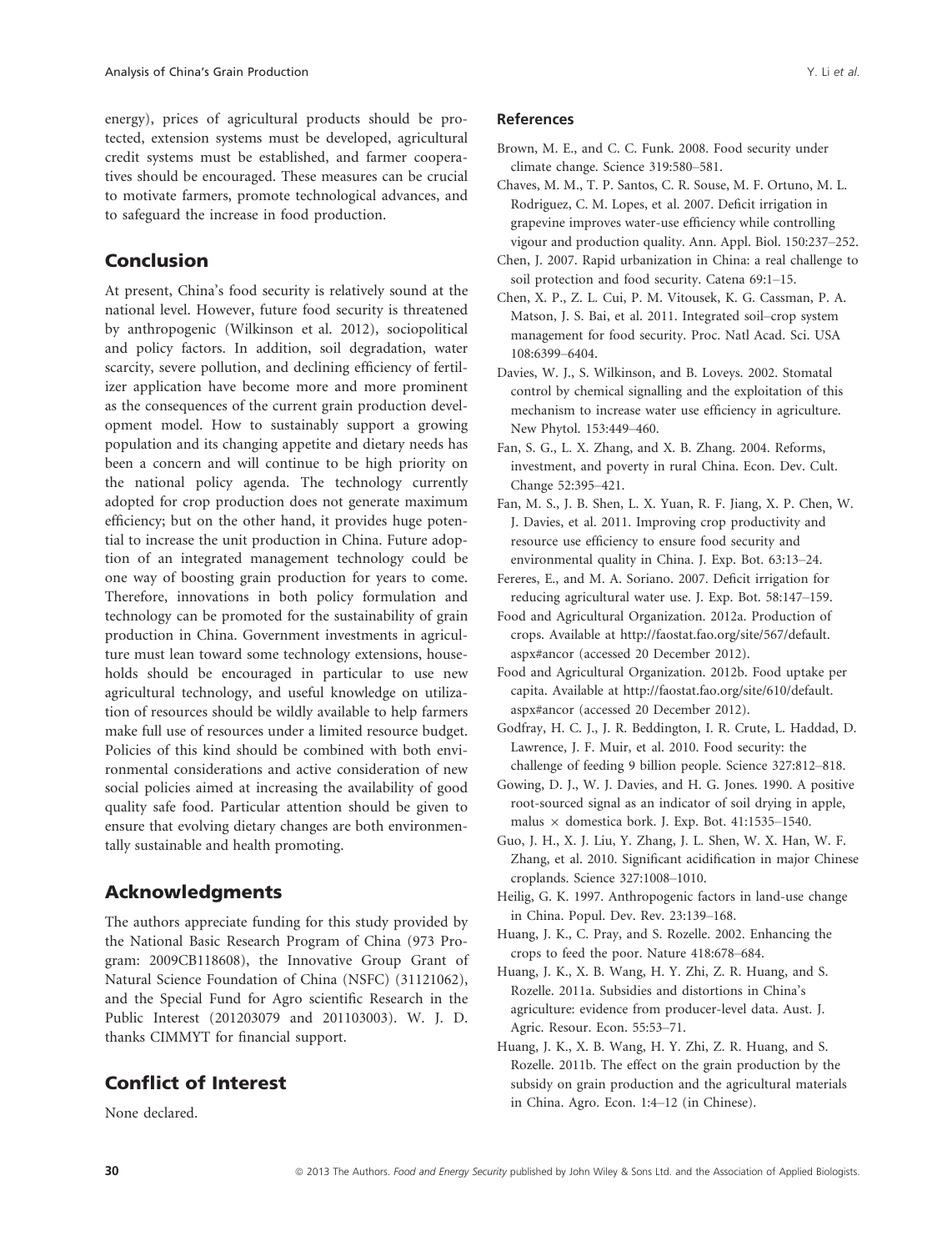energy), prices of agricultural products should be protected, extension systems must be developed, agricultural credit systems must be established, and farmer cooperatives should be encouraged. These measures can be crucial to motivate farmers, promote technological advances, and to safeguard the increase in food production.

# Conclusion

At present, China's food security is relatively sound at the national level. However, future food security is threatened by anthropogenic (Wilkinson et al. 2012), sociopolitical and policy factors. In addition, soil degradation, water scarcity, severe pollution, and declining efficiency of fertilizer application have become more and more prominent as the consequences of the current grain production development model. How to sustainably support a growing population and its changing appetite and dietary needs has been a concern and will continue to be high priority on the national policy agenda. The technology currently adopted for crop production does not generate maximum efficiency; but on the other hand, it provides huge potential to increase the unit production in China. Future adoption of an integrated management technology could be one way of boosting grain production for years to come. Therefore, innovations in both policy formulation and technology can be promoted for the sustainability of grain production in China. Government investments in agriculture must lean toward some technology extensions, households should be encouraged in particular to use new agricultural technology, and useful knowledge on utilization of resources should be wildly available to help farmers make full use of resources under a limited resource budget. Policies of this kind should be combined with both environmental considerations and active consideration of new social policies aimed at increasing the availability of good quality safe food. Particular attention should be given to ensure that evolving dietary changes are both environmentally sustainable and health promoting.

# Acknowledgments

The authors appreciate funding for this study provided by the National Basic Research Program of China (973 Program: 2009CB118608), the Innovative Group Grant of Natural Science Foundation of China (NSFC) (31121062), and the Special Fund for Agro scientific Research in the Public Interest (201203079 and 201103003). W. J. D. thanks CIMMYT for financial support.

# Conflict of Interest

None declared.

### References

- Brown, M. E., and C. C. Funk. 2008. Food security under climate change. Science 319:580–581.
- Chaves, M. M., T. P. Santos, C. R. Souse, M. F. Ortuno, M. L. Rodriguez, C. M. Lopes, et al. 2007. Deficit irrigation in grapevine improves water-use efficiency while controlling vigour and production quality. Ann. Appl. Biol. 150:237–252.
- Chen, J. 2007. Rapid urbanization in China: a real challenge to soil protection and food security. Catena 69:1–15.
- Chen, X. P., Z. L. Cui, P. M. Vitousek, K. G. Cassman, P. A. Matson, J. S. Bai, et al. 2011. Integrated soil–crop system management for food security. Proc. Natl Acad. Sci. USA 108:6399–6404.
- Davies, W. J., S. Wilkinson, and B. Loveys. 2002. Stomatal control by chemical signalling and the exploitation of this mechanism to increase water use efficiency in agriculture. New Phytol. 153:449–460.
- Fan, S. G., L. X. Zhang, and X. B. Zhang. 2004. Reforms, investment, and poverty in rural China. Econ. Dev. Cult. Change 52:395–421.
- Fan, M. S., J. B. Shen, L. X. Yuan, R. F. Jiang, X. P. Chen, W. J. Davies, et al. 2011. Improving crop productivity and resource use efficiency to ensure food security and environmental quality in China. J. Exp. Bot. 63:13–24.
- Fereres, E., and M. A. Soriano. 2007. Deficit irrigation for reducing agricultural water use. J. Exp. Bot. 58:147–159.
- Food and Agricultural Organization. 2012a. Production of crops. Available at http://faostat.fao.org/site/567/default. aspx#ancor (accessed 20 December 2012).
- Food and Agricultural Organization. 2012b. Food uptake per capita. Available at http://faostat.fao.org/site/610/default. aspx#ancor (accessed 20 December 2012).
- Godfray, H. C. J., J. R. Beddington, I. R. Crute, L. Haddad, D. Lawrence, J. F. Muir, et al. 2010. Food security: the challenge of feeding 9 billion people. Science 327:812–818.
- Gowing, D. J., W. J. Davies, and H. G. Jones. 1990. A positive root-sourced signal as an indicator of soil drying in apple, malus  $\times$  domestica bork. J. Exp. Bot. 41:1535–1540.
- Guo, J. H., X. J. Liu, Y. Zhang, J. L. Shen, W. X. Han, W. F. Zhang, et al. 2010. Significant acidification in major Chinese croplands. Science 327:1008–1010.
- Heilig, G. K. 1997. Anthropogenic factors in land-use change in China. Popul. Dev. Rev. 23:139–168.
- Huang, J. K., C. Pray, and S. Rozelle. 2002. Enhancing the crops to feed the poor. Nature 418:678–684.
- Huang, J. K., X. B. Wang, H. Y. Zhi, Z. R. Huang, and S. Rozelle. 2011a. Subsidies and distortions in China's agriculture: evidence from producer-level data. Aust. J. Agric. Resour. Econ. 55:53–71.
- Huang, J. K., X. B. Wang, H. Y. Zhi, Z. R. Huang, and S. Rozelle. 2011b. The effect on the grain production by the subsidy on grain production and the agricultural materials in China. Agro. Econ. 1:4–12 (in Chinese).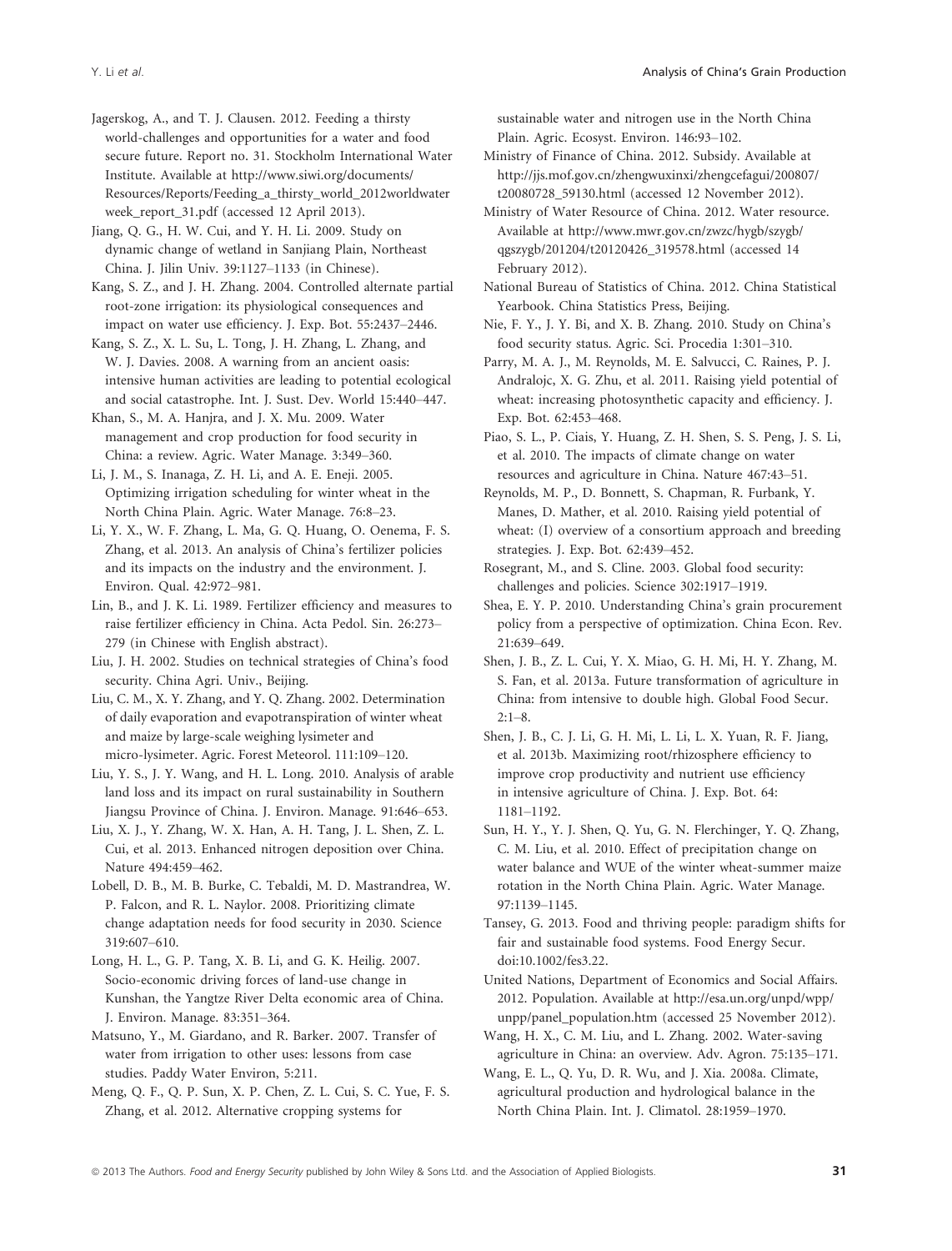Jagerskog, A., and T. J. Clausen. 2012. Feeding a thirsty world-challenges and opportunities for a water and food secure future. Report no. 31. Stockholm International Water Institute. Available at http://www.siwi.org/documents/ Resources/Reports/Feeding\_a\_thirsty\_world\_2012worldwater week report 31.pdf (accessed 12 April 2013).

Jiang, Q. G., H. W. Cui, and Y. H. Li. 2009. Study on dynamic change of wetland in Sanjiang Plain, Northeast China. J. Jilin Univ. 39:1127–1133 (in Chinese).

Kang, S. Z., and J. H. Zhang. 2004. Controlled alternate partial root-zone irrigation: its physiological consequences and impact on water use efficiency. J. Exp. Bot. 55:2437–2446.

Kang, S. Z., X. L. Su, L. Tong, J. H. Zhang, L. Zhang, and W. J. Davies. 2008. A warning from an ancient oasis: intensive human activities are leading to potential ecological and social catastrophe. Int. J. Sust. Dev. World 15:440–447.

Khan, S., M. A. Hanjra, and J. X. Mu. 2009. Water management and crop production for food security in China: a review. Agric. Water Manage. 3:349–360.

Li, J. M., S. Inanaga, Z. H. Li, and A. E. Eneji. 2005. Optimizing irrigation scheduling for winter wheat in the North China Plain. Agric. Water Manage. 76:8–23.

Li, Y. X., W. F. Zhang, L. Ma, G. Q. Huang, O. Oenema, F. S. Zhang, et al. 2013. An analysis of China's fertilizer policies and its impacts on the industry and the environment. J. Environ. Qual. 42:972–981.

Lin, B., and J. K. Li. 1989. Fertilizer efficiency and measures to raise fertilizer efficiency in China. Acta Pedol. Sin. 26:273– 279 (in Chinese with English abstract).

Liu, J. H. 2002. Studies on technical strategies of China's food security. China Agri. Univ., Beijing.

Liu, C. M., X. Y. Zhang, and Y. Q. Zhang. 2002. Determination of daily evaporation and evapotranspiration of winter wheat and maize by large-scale weighing lysimeter and micro-lysimeter. Agric. Forest Meteorol. 111:109–120.

Liu, Y. S., J. Y. Wang, and H. L. Long. 2010. Analysis of arable land loss and its impact on rural sustainability in Southern Jiangsu Province of China. J. Environ. Manage. 91:646–653.

Liu, X. J., Y. Zhang, W. X. Han, A. H. Tang, J. L. Shen, Z. L. Cui, et al. 2013. Enhanced nitrogen deposition over China. Nature 494:459–462.

Lobell, D. B., M. B. Burke, C. Tebaldi, M. D. Mastrandrea, W. P. Falcon, and R. L. Naylor. 2008. Prioritizing climate change adaptation needs for food security in 2030. Science 319:607–610.

Long, H. L., G. P. Tang, X. B. Li, and G. K. Heilig. 2007. Socio-economic driving forces of land-use change in Kunshan, the Yangtze River Delta economic area of China. J. Environ. Manage. 83:351–364.

Matsuno, Y., M. Giardano, and R. Barker. 2007. Transfer of water from irrigation to other uses: lessons from case studies. Paddy Water Environ, 5:211.

Meng, Q. F., Q. P. Sun, X. P. Chen, Z. L. Cui, S. C. Yue, F. S. Zhang, et al. 2012. Alternative cropping systems for

sustainable water and nitrogen use in the North China Plain. Agric. Ecosyst. Environ. 146:93–102.

- Ministry of Finance of China. 2012. Subsidy. Available at http://jjs.mof.gov.cn/zhengwuxinxi/zhengcefagui/200807/ t20080728\_59130.html (accessed 12 November 2012).
- Ministry of Water Resource of China. 2012. Water resource. Available at http://www.mwr.gov.cn/zwzc/hygb/szygb/ qgszygb/201204/t20120426\_319578.html (accessed 14 February 2012).

National Bureau of Statistics of China. 2012. China Statistical Yearbook. China Statistics Press, Beijing.

Nie, F. Y., J. Y. Bi, and X. B. Zhang. 2010. Study on China's food security status. Agric. Sci. Procedia 1:301–310.

Parry, M. A. J., M. Reynolds, M. E. Salvucci, C. Raines, P. J. Andralojc, X. G. Zhu, et al. 2011. Raising yield potential of wheat: increasing photosynthetic capacity and efficiency. J. Exp. Bot. 62:453–468.

Piao, S. L., P. Ciais, Y. Huang, Z. H. Shen, S. S. Peng, J. S. Li, et al. 2010. The impacts of climate change on water resources and agriculture in China. Nature 467:43–51.

Reynolds, M. P., D. Bonnett, S. Chapman, R. Furbank, Y. Manes, D. Mather, et al. 2010. Raising yield potential of wheat: (I) overview of a consortium approach and breeding strategies. J. Exp. Bot. 62:439–452.

Rosegrant, M., and S. Cline. 2003. Global food security: challenges and policies. Science 302:1917–1919.

Shea, E. Y. P. 2010. Understanding China's grain procurement policy from a perspective of optimization. China Econ. Rev. 21:639–649.

Shen, J. B., Z. L. Cui, Y. X. Miao, G. H. Mi, H. Y. Zhang, M. S. Fan, et al. 2013a. Future transformation of agriculture in China: from intensive to double high. Global Food Secur. 2:1–8.

Shen, J. B., C. J. Li, G. H. Mi, L. Li, L. X. Yuan, R. F. Jiang, et al. 2013b. Maximizing root/rhizosphere efficiency to improve crop productivity and nutrient use efficiency in intensive agriculture of China. J. Exp. Bot. 64: 1181–1192.

Sun, H. Y., Y. J. Shen, Q. Yu, G. N. Flerchinger, Y. Q. Zhang, C. M. Liu, et al. 2010. Effect of precipitation change on water balance and WUE of the winter wheat-summer maize rotation in the North China Plain. Agric. Water Manage. 97:1139–1145.

Tansey, G. 2013. Food and thriving people: paradigm shifts for fair and sustainable food systems. Food Energy Secur. doi:10.1002/fes3.22.

United Nations, Department of Economics and Social Affairs. 2012. Population. Available at http://esa.un.org/unpd/wpp/ unpp/panel\_population.htm (accessed 25 November 2012).

Wang, H. X., C. M. Liu, and L. Zhang. 2002. Water-saving agriculture in China: an overview. Adv. Agron. 75:135–171.

Wang, E. L., Q. Yu, D. R. Wu, and J. Xia. 2008a. Climate, agricultural production and hydrological balance in the North China Plain. Int. J. Climatol. 28:1959–1970.